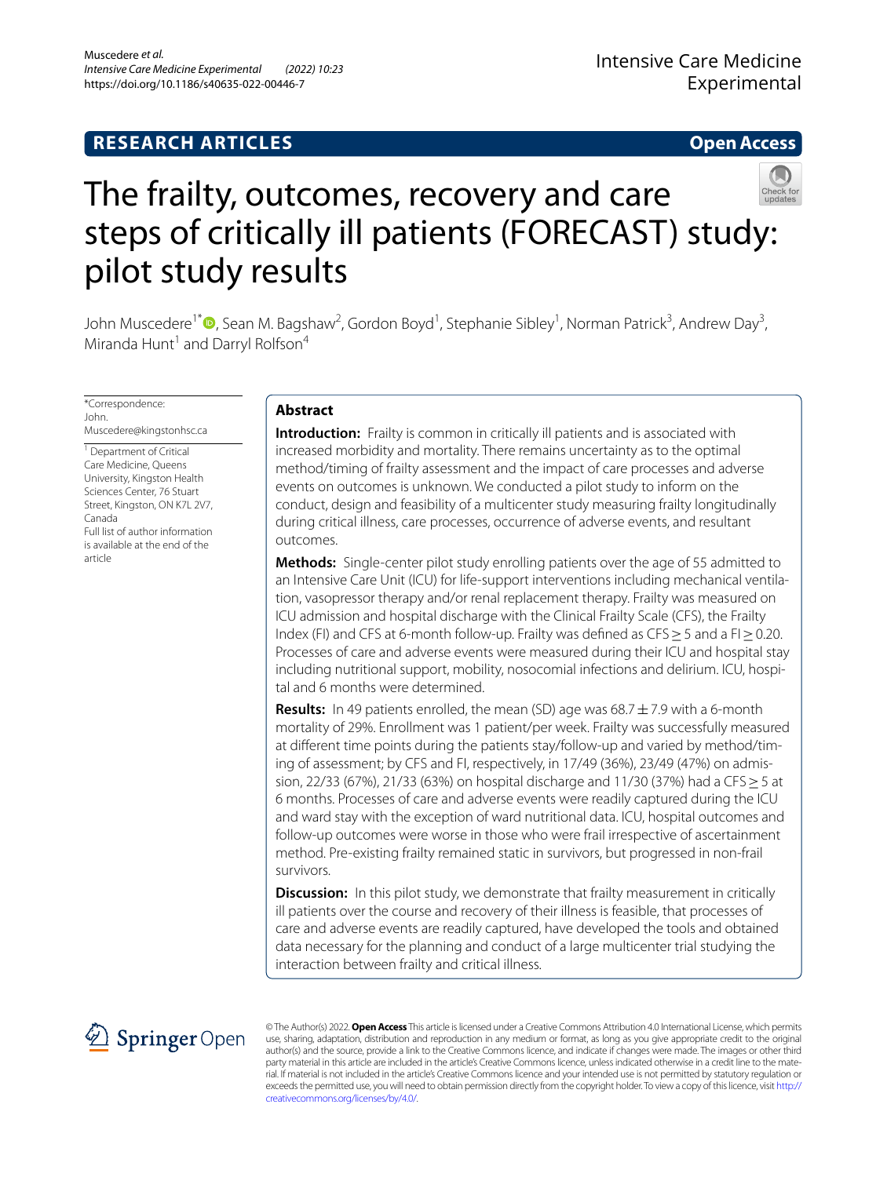# **RESEARCH ARTICLES**

# **Open Access**



# The frailty, outcomes, recovery and care steps of critically ill patients (FORECAST) study: pilot study results

John Muscedere<sup>1[\\*](http://orcid.org/0000-0002-9027-7198)</sup>®, Sean M. Bagshaw<sup>2</sup>, Gordon Boyd<sup>1</sup>, Stephanie Sibley<sup>1</sup>, Norman Patrick<sup>3</sup>, Andrew Day<sup>3</sup>, Miranda Hunt<sup>1</sup> and Darryl Rolfson<sup>4</sup>

\*Correspondence: John. Muscedere@kingstonhsc.ca

<sup>1</sup> Department of Critical Care Medicine, Queens University, Kingston Health Sciences Center, 76 Stuart Street, Kingston, ON K7L 2V7, Canada Full list of author information is available at the end of the article

# **Abstract**

**Introduction:** Frailty is common in critically ill patients and is associated with increased morbidity and mortality. There remains uncertainty as to the optimal method/timing of frailty assessment and the impact of care processes and adverse events on outcomes is unknown. We conducted a pilot study to inform on the conduct, design and feasibility of a multicenter study measuring frailty longitudinally during critical illness, care processes, occurrence of adverse events, and resultant outcomes.

**Methods:** Single-center pilot study enrolling patients over the age of 55 admitted to an Intensive Care Unit (ICU) for life-support interventions including mechanical ventilation, vasopressor therapy and/or renal replacement therapy. Frailty was measured on ICU admission and hospital discharge with the Clinical Frailty Scale (CFS), the Frailty Index (FI) and CFS at 6-month follow-up. Frailty was defned as CFS≥5 and a FI≥0.20. Processes of care and adverse events were measured during their ICU and hospital stay including nutritional support, mobility, nosocomial infections and delirium. ICU, hospital and 6 months were determined.

**Results:** In 49 patients enrolled, the mean (SD) age was 68.7 ± 7.9 with a 6-month mortality of 29%. Enrollment was 1 patient/per week. Frailty was successfully measured at diferent time points during the patients stay/follow-up and varied by method/timing of assessment; by CFS and FI, respectively, in 17/49 (36%), 23/49 (47%) on admission, 22/33 (67%), 21/33 (63%) on hospital discharge and 11/30 (37%) had a CFS ≥ 5 at 6 months. Processes of care and adverse events were readily captured during the ICU and ward stay with the exception of ward nutritional data. ICU, hospital outcomes and follow-up outcomes were worse in those who were frail irrespective of ascertainment method. Pre-existing frailty remained static in survivors, but progressed in non-frail survivors.

**Discussion:** In this pilot study, we demonstrate that frailty measurement in critically ill patients over the course and recovery of their illness is feasible, that processes of care and adverse events are readily captured, have developed the tools and obtained data necessary for the planning and conduct of a large multicenter trial studying the interaction between frailty and critical illness.



© The Author(s) 2022. **Open Access** This article is licensed under a Creative Commons Attribution 4.0 International License, which permits use, sharing, adaptation, distribution and reproduction in any medium or format, as long as you give appropriate credit to the original author(s) and the source, provide a link to the Creative Commons licence, and indicate if changes were made. The images or other third party material in this article are included in the article's Creative Commons licence, unless indicated otherwise in a credit line to the material. If material is not included in the article's Creative Commons licence and your intended use is not permitted by statutory regulation or exceeds the permitted use, you will need to obtain permission directly from the copyright holder. To view a copy of this licence, visit [http://](http://creativecommons.org/licenses/by/4.0/) [creativecommons.org/licenses/by/4.0/.](http://creativecommons.org/licenses/by/4.0/)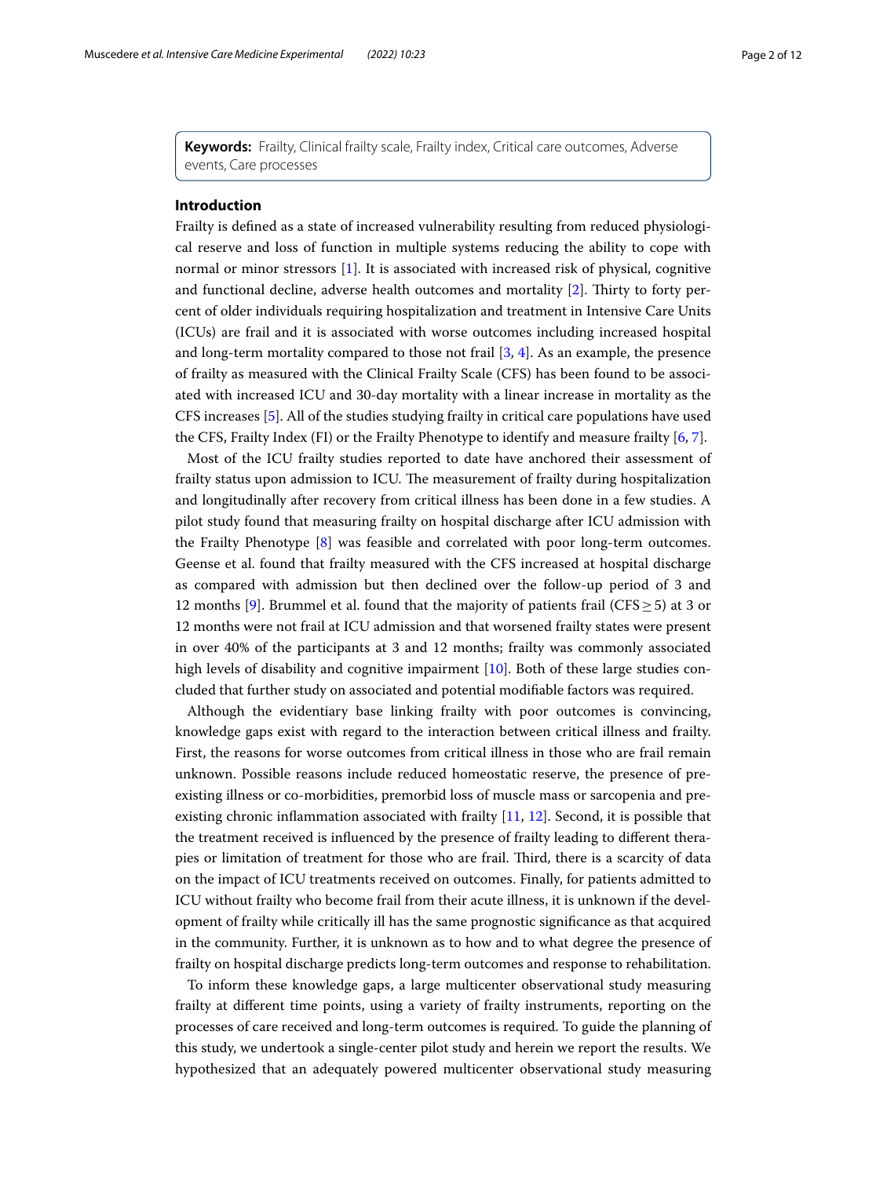**Keywords:** Frailty, Clinical frailty scale, Frailty index, Critical care outcomes, Adverse events, Care processes

# **Introduction**

Frailty is defned as a state of increased vulnerability resulting from reduced physiological reserve and loss of function in multiple systems reducing the ability to cope with normal or minor stressors [\[1](#page-10-0)]. It is associated with increased risk of physical, cognitive and functional decline, adverse health outcomes and mortality  $[2]$  $[2]$ . Thirty to forty percent of older individuals requiring hospitalization and treatment in Intensive Care Units (ICUs) are frail and it is associated with worse outcomes including increased hospital and long-term mortality compared to those not frail  $[3, 4]$  $[3, 4]$  $[3, 4]$ . As an example, the presence of frailty as measured with the Clinical Frailty Scale (CFS) has been found to be associated with increased ICU and 30-day mortality with a linear increase in mortality as the CFS increases [[5\]](#page-10-4). All of the studies studying frailty in critical care populations have used the CFS, Frailty Index (FI) or the Frailty Phenotype to identify and measure frailty [\[6](#page-10-5), [7\]](#page-10-6).

Most of the ICU frailty studies reported to date have anchored their assessment of frailty status upon admission to ICU. The measurement of frailty during hospitalization and longitudinally after recovery from critical illness has been done in a few studies. A pilot study found that measuring frailty on hospital discharge after ICU admission with the Frailty Phenotype [\[8\]](#page-11-0) was feasible and correlated with poor long-term outcomes. Geense et al. found that frailty measured with the CFS increased at hospital discharge as compared with admission but then declined over the follow-up period of 3 and 12 months [\[9](#page-11-1)]. Brummel et al. found that the majority of patients frail (CFS  $\geq$  5) at 3 or 12 months were not frail at ICU admission and that worsened frailty states were present in over 40% of the participants at 3 and 12 months; frailty was commonly associated high levels of disability and cognitive impairment [\[10](#page-11-2)]. Both of these large studies concluded that further study on associated and potential modifable factors was required.

Although the evidentiary base linking frailty with poor outcomes is convincing, knowledge gaps exist with regard to the interaction between critical illness and frailty. First, the reasons for worse outcomes from critical illness in those who are frail remain unknown. Possible reasons include reduced homeostatic reserve, the presence of preexisting illness or co-morbidities, premorbid loss of muscle mass or sarcopenia and preexisting chronic infammation associated with frailty [[11,](#page-11-3) [12\]](#page-11-4). Second, it is possible that the treatment received is infuenced by the presence of frailty leading to diferent therapies or limitation of treatment for those who are frail. Third, there is a scarcity of data on the impact of ICU treatments received on outcomes. Finally, for patients admitted to ICU without frailty who become frail from their acute illness, it is unknown if the development of frailty while critically ill has the same prognostic signifcance as that acquired in the community. Further, it is unknown as to how and to what degree the presence of frailty on hospital discharge predicts long-term outcomes and response to rehabilitation.

To inform these knowledge gaps, a large multicenter observational study measuring frailty at diferent time points, using a variety of frailty instruments, reporting on the processes of care received and long-term outcomes is required. To guide the planning of this study, we undertook a single-center pilot study and herein we report the results. We hypothesized that an adequately powered multicenter observational study measuring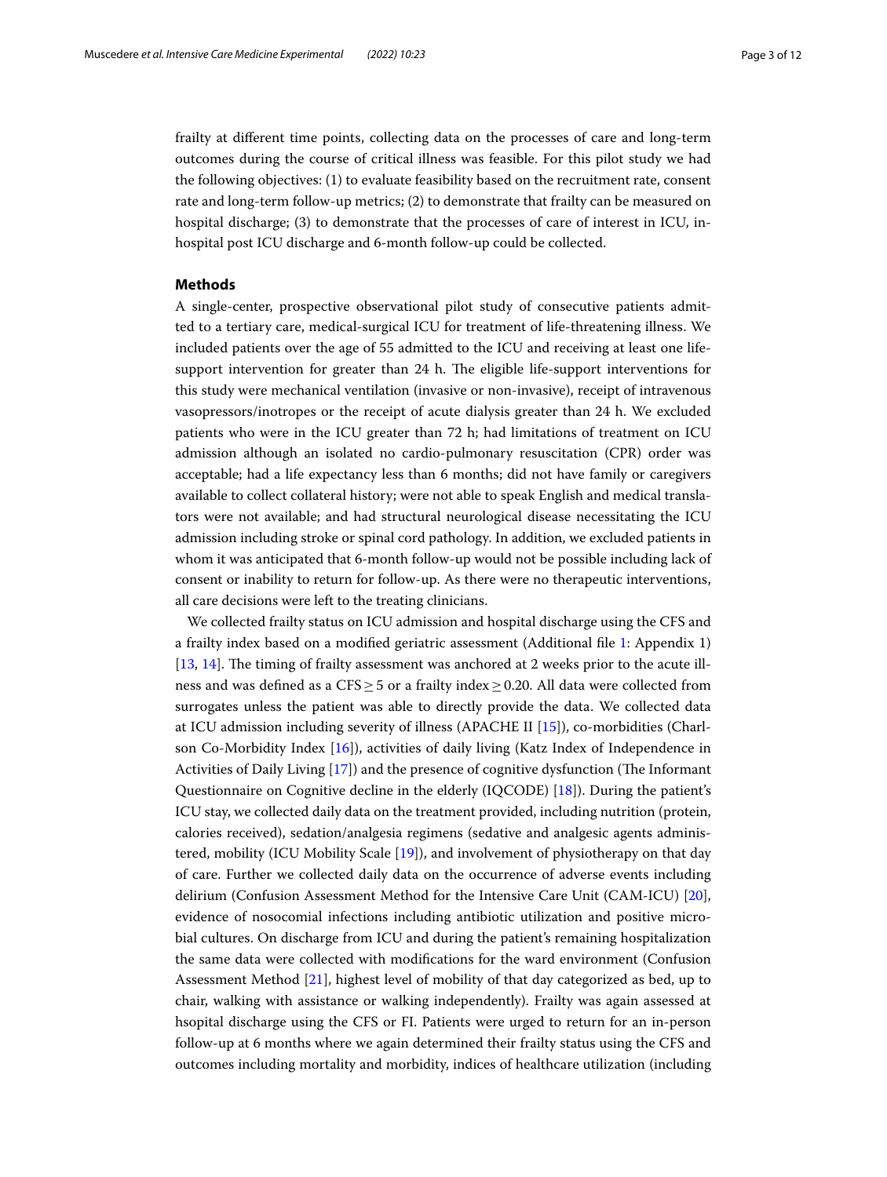frailty at diferent time points, collecting data on the processes of care and long-term outcomes during the course of critical illness was feasible. For this pilot study we had the following objectives: (1) to evaluate feasibility based on the recruitment rate, consent rate and long-term follow-up metrics; (2) to demonstrate that frailty can be measured on hospital discharge; (3) to demonstrate that the processes of care of interest in ICU, inhospital post ICU discharge and 6-month follow-up could be collected.

# **Methods**

A single-center, prospective observational pilot study of consecutive patients admitted to a tertiary care, medical-surgical ICU for treatment of life-threatening illness. We included patients over the age of 55 admitted to the ICU and receiving at least one lifesupport intervention for greater than 24 h. The eligible life-support interventions for this study were mechanical ventilation (invasive or non-invasive), receipt of intravenous vasopressors/inotropes or the receipt of acute dialysis greater than 24 h. We excluded patients who were in the ICU greater than 72 h; had limitations of treatment on ICU admission although an isolated no cardio-pulmonary resuscitation (CPR) order was acceptable; had a life expectancy less than 6 months; did not have family or caregivers available to collect collateral history; were not able to speak English and medical translators were not available; and had structural neurological disease necessitating the ICU admission including stroke or spinal cord pathology. In addition, we excluded patients in whom it was anticipated that 6-month follow-up would not be possible including lack of consent or inability to return for follow-up. As there were no therapeutic interventions, all care decisions were left to the treating clinicians.

We collected frailty status on ICU admission and hospital discharge using the CFS and a frailty index based on a modifed geriatric assessment (Additional fle [1](#page-10-7): Appendix 1)  $[13, 14]$  $[13, 14]$  $[13, 14]$  $[13, 14]$  $[13, 14]$ . The timing of frailty assessment was anchored at 2 weeks prior to the acute illness and was defned as a CFS≥5 or a frailty index≥0.20. All data were collected from surrogates unless the patient was able to directly provide the data. We collected data at ICU admission including severity of illness (APACHE II [[15\]](#page-11-7)), co-morbidities (Charlson Co-Morbidity Index [[16\]](#page-11-8)), activities of daily living (Katz Index of Independence in Activities of Daily Living [[17\]](#page-11-9)) and the presence of cognitive dysfunction (The Informant Questionnaire on Cognitive decline in the elderly (IQCODE) [[18\]](#page-11-10)). During the patient's ICU stay, we collected daily data on the treatment provided, including nutrition (protein, calories received), sedation/analgesia regimens (sedative and analgesic agents administered, mobility (ICU Mobility Scale [\[19](#page-11-11)]), and involvement of physiotherapy on that day of care. Further we collected daily data on the occurrence of adverse events including delirium (Confusion Assessment Method for the Intensive Care Unit (CAM-ICU) [\[20](#page-11-12)], evidence of nosocomial infections including antibiotic utilization and positive microbial cultures. On discharge from ICU and during the patient's remaining hospitalization the same data were collected with modifcations for the ward environment (Confusion Assessment Method [\[21](#page-11-13)], highest level of mobility of that day categorized as bed, up to chair, walking with assistance or walking independently). Frailty was again assessed at hsopital discharge using the CFS or FI. Patients were urged to return for an in-person follow-up at 6 months where we again determined their frailty status using the CFS and outcomes including mortality and morbidity, indices of healthcare utilization (including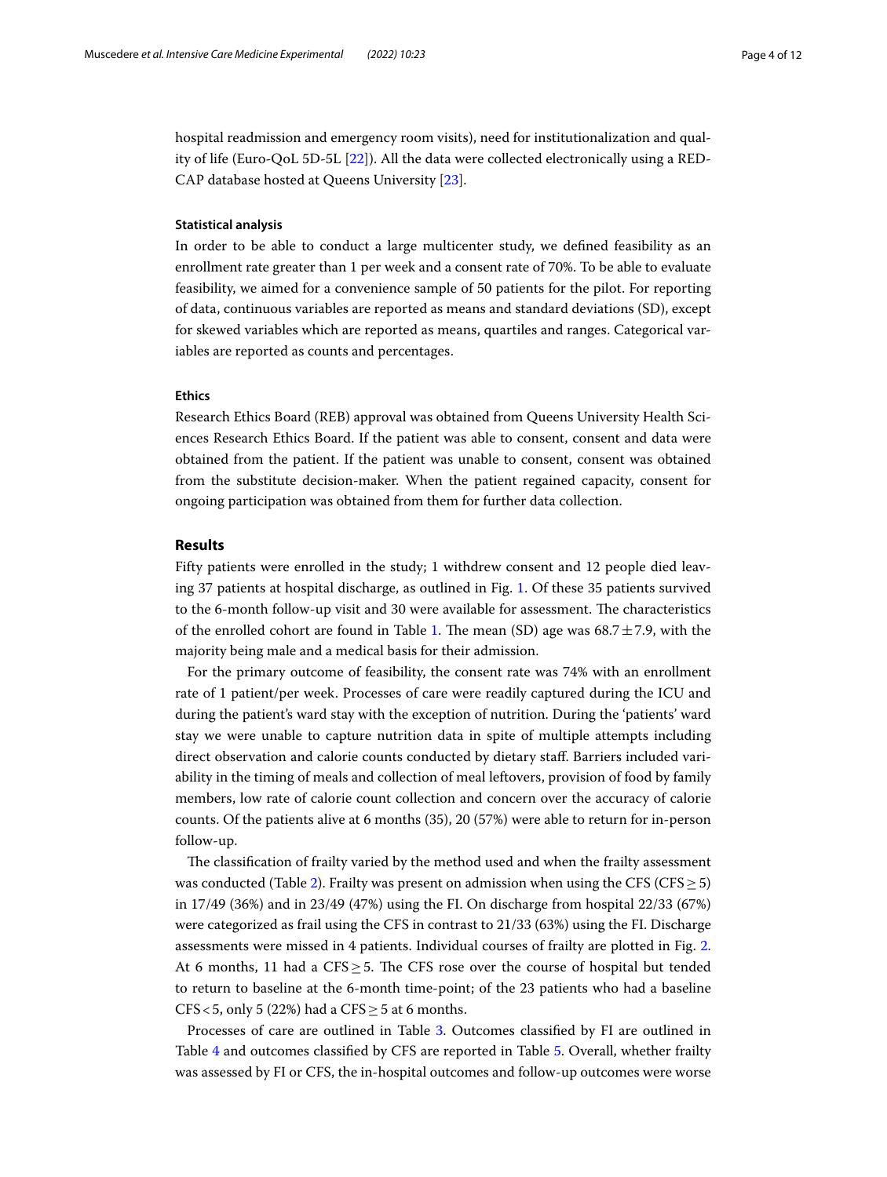hospital readmission and emergency room visits), need for institutionalization and quality of life (Euro-QoL 5D-5L [[22\]](#page-11-14)). All the data were collected electronically using a RED-CAP database hosted at Queens University [\[23](#page-11-15)].

# **Statistical analysis**

In order to be able to conduct a large multicenter study, we defned feasibility as an enrollment rate greater than 1 per week and a consent rate of 70%. To be able to evaluate feasibility, we aimed for a convenience sample of 50 patients for the pilot. For reporting of data, continuous variables are reported as means and standard deviations (SD), except for skewed variables which are reported as means, quartiles and ranges. Categorical variables are reported as counts and percentages.

# **Ethics**

Research Ethics Board (REB) approval was obtained from Queens University Health Sciences Research Ethics Board. If the patient was able to consent, consent and data were obtained from the patient. If the patient was unable to consent, consent was obtained from the substitute decision-maker. When the patient regained capacity, consent for ongoing participation was obtained from them for further data collection.

# **Results**

Fifty patients were enrolled in the study; 1 withdrew consent and 12 people died leaving 37 patients at hospital discharge, as outlined in Fig. [1](#page-4-0). Of these 35 patients survived to the 6-month follow-up visit and 30 were available for assessment. The characteristics of the enrolled cohort are found in Table [1](#page-5-0). The mean (SD) age was  $68.7 \pm 7.9$ , with the majority being male and a medical basis for their admission.

For the primary outcome of feasibility, the consent rate was 74% with an enrollment rate of 1 patient/per week. Processes of care were readily captured during the ICU and during the patient's ward stay with the exception of nutrition. During the 'patients' ward stay we were unable to capture nutrition data in spite of multiple attempts including direct observation and calorie counts conducted by dietary staf. Barriers included variability in the timing of meals and collection of meal leftovers, provision of food by family members, low rate of calorie count collection and concern over the accuracy of calorie counts. Of the patients alive at 6 months (35), 20 (57%) were able to return for in-person follow-up.

The classification of frailty varied by the method used and when the frailty assessment was conducted (Table [2](#page-5-1)). Frailty was present on admission when using the CFS (CFS  $\geq$  5) in 17/49 (36%) and in 23/49 (47%) using the FI. On discharge from hospital 22/33 (67%) were categorized as frail using the CFS in contrast to 21/33 (63%) using the FI. Discharge assessments were missed in 4 patients. Individual courses of frailty are plotted in Fig. [2](#page-6-0). At 6 months, 11 had a  $CFS \geq 5$ . The CFS rose over the course of hospital but tended to return to baseline at the 6-month time-point; of the 23 patients who had a baseline CFS < 5, only 5 (22%) had a CFS  $\geq$  5 at 6 months.

Processes of care are outlined in Table [3.](#page-7-0) Outcomes classifed by FI are outlined in Table [4](#page-8-0) and outcomes classifed by CFS are reported in Table [5.](#page-9-0) Overall, whether frailty was assessed by FI or CFS, the in-hospital outcomes and follow-up outcomes were worse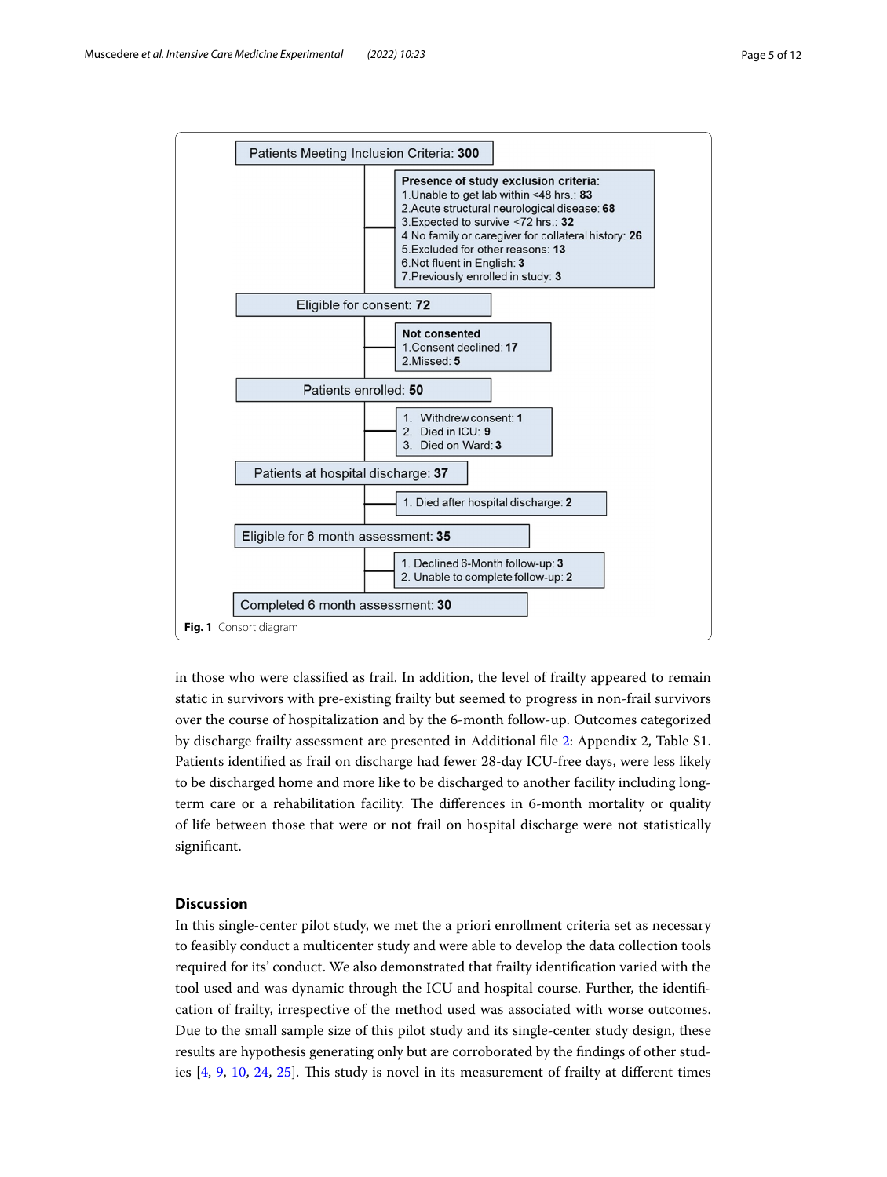

<span id="page-4-0"></span>in those who were classifed as frail. In addition, the level of frailty appeared to remain static in survivors with pre-existing frailty but seemed to progress in non-frail survivors over the course of hospitalization and by the 6-month follow-up. Outcomes categorized by discharge frailty assessment are presented in Additional fle [2:](#page-10-8) Appendix 2, Table S1. Patients identifed as frail on discharge had fewer 28-day ICU-free days, were less likely to be discharged home and more like to be discharged to another facility including longterm care or a rehabilitation facility. The differences in 6-month mortality or quality of life between those that were or not frail on hospital discharge were not statistically signifcant.

# **Discussion**

In this single-center pilot study, we met the a priori enrollment criteria set as necessary to feasibly conduct a multicenter study and were able to develop the data collection tools required for its' conduct. We also demonstrated that frailty identifcation varied with the tool used and was dynamic through the ICU and hospital course. Further, the identifcation of frailty, irrespective of the method used was associated with worse outcomes. Due to the small sample size of this pilot study and its single-center study design, these results are hypothesis generating only but are corroborated by the fndings of other studies [[4,](#page-10-3) [9](#page-11-1), [10](#page-11-2), [24,](#page-11-16) [25\]](#page-11-17). Tis study is novel in its measurement of frailty at diferent times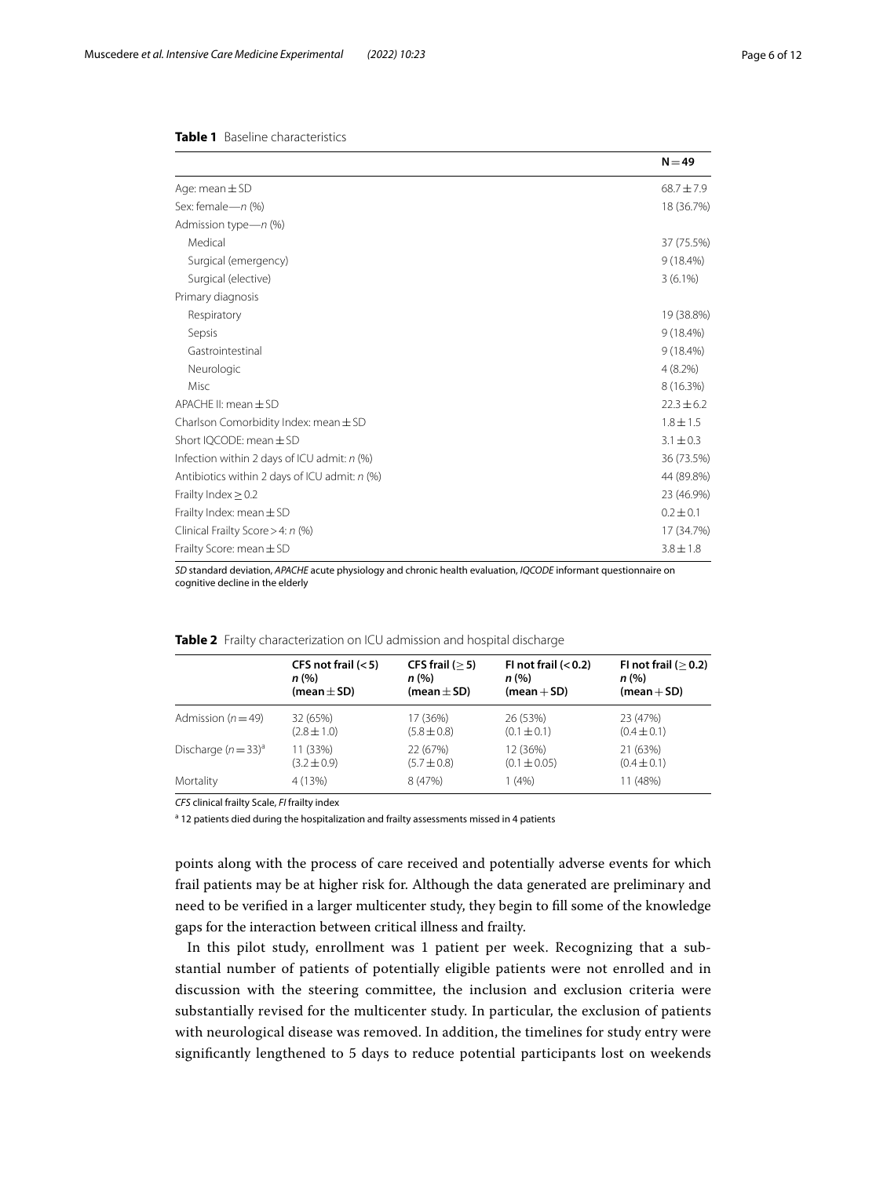# <span id="page-5-0"></span>**Table 1** Baseline characteristics

|                                                 | $N = 49$       |
|-------------------------------------------------|----------------|
| Age: mean $\pm$ SD                              | $68.7 \pm 7.9$ |
| Sex: female-n (%)                               | 18 (36.7%)     |
| Admission type-n (%)                            |                |
| Medical                                         | 37 (75.5%)     |
| Surgical (emergency)                            | $9(18.4\%)$    |
| Surgical (elective)                             | $3(6.1\%)$     |
| Primary diagnosis                               |                |
| Respiratory                                     | 19 (38.8%)     |
| Sepsis                                          | $9(18.4\%)$    |
| Gastrointestinal                                | $9(18.4\%)$    |
| Neurologic                                      | $4(8.2\%)$     |
| Misc                                            | 8 (16.3%)      |
| APACHE II: mean $\pm$ SD                        | $22.3 \pm 6.2$ |
| Charlson Comorbidity Index: mean $\pm$ SD       | $1.8 \pm 1.5$  |
| Short IOCODE: mean $\pm$ SD                     | $3.1 \pm 0.3$  |
| Infection within 2 days of ICU admit: n (%)     | 36 (73.5%)     |
| Antibiotics within 2 days of ICU admit: $n$ (%) | 44 (89.8%)     |
| Frailty Index $\geq$ 0.2                        | 23 (46.9%)     |
| Frailty Index: mean $\pm$ SD                    | $0.2 \pm 0.1$  |
| Clinical Frailty Score > 4: n (%)               | 17 (34.7%)     |
| Frailty Score: mean $\pm$ SD                    | $3.8 \pm 1.8$  |

*SD* standard deviation, *APACHE* acute physiology and chronic health evaluation, *IQCODE* informant questionnaire on cognitive decline in the elderly

|                        | CFS not frail $(< 5)$ | CFS frail $(>5)$ | FI not frail $(0.2)$ | FI not frail $(>0.2)$ |
|------------------------|-----------------------|------------------|----------------------|-----------------------|
|                        | n (%)                 | n (%)            | n (% )               | n (% )                |
|                        | (mean $\pm$ SD)       | (mean $\pm$ SD)  | $(mean + SD)$        | $(mean + SD)$         |
| Admission ( $n = 49$ ) | 32 (65%)              | 17 (36%)         | 26 (53%)             | 23 (47%)              |
|                        | $(2.8 \pm 1.0)$       | $(5.8 \pm 0.8)$  | $(0.1 \pm 0.1)$      | $(0.4 \pm 0.1)$       |
| Discharge $(n=33)^a$   | 11 (33%)              | 22 (67%)         | 12 (36%)             | 21 (63%)              |
|                        | $(3.2 \pm 0.9)$       | $(5.7 \pm 0.8)$  | $(0.1 \pm 0.05)$     | $(0.4 \pm 0.1)$       |
| Mortality              | 4 (13%)               | 8(47%)           | 1(4%)                | 11 (48%)              |

<span id="page-5-1"></span>

| Table 2 Frailty characterization on ICU admission and hospital discharge |
|--------------------------------------------------------------------------|

*CFS* clinical frailty Scale, *FI* frailty index

<sup>a</sup> 12 patients died during the hospitalization and frailty assessments missed in 4 patients

points along with the process of care received and potentially adverse events for which frail patients may be at higher risk for. Although the data generated are preliminary and need to be verifed in a larger multicenter study, they begin to fll some of the knowledge gaps for the interaction between critical illness and frailty.

In this pilot study, enrollment was 1 patient per week. Recognizing that a substantial number of patients of potentially eligible patients were not enrolled and in discussion with the steering committee, the inclusion and exclusion criteria were substantially revised for the multicenter study. In particular, the exclusion of patients with neurological disease was removed. In addition, the timelines for study entry were signifcantly lengthened to 5 days to reduce potential participants lost on weekends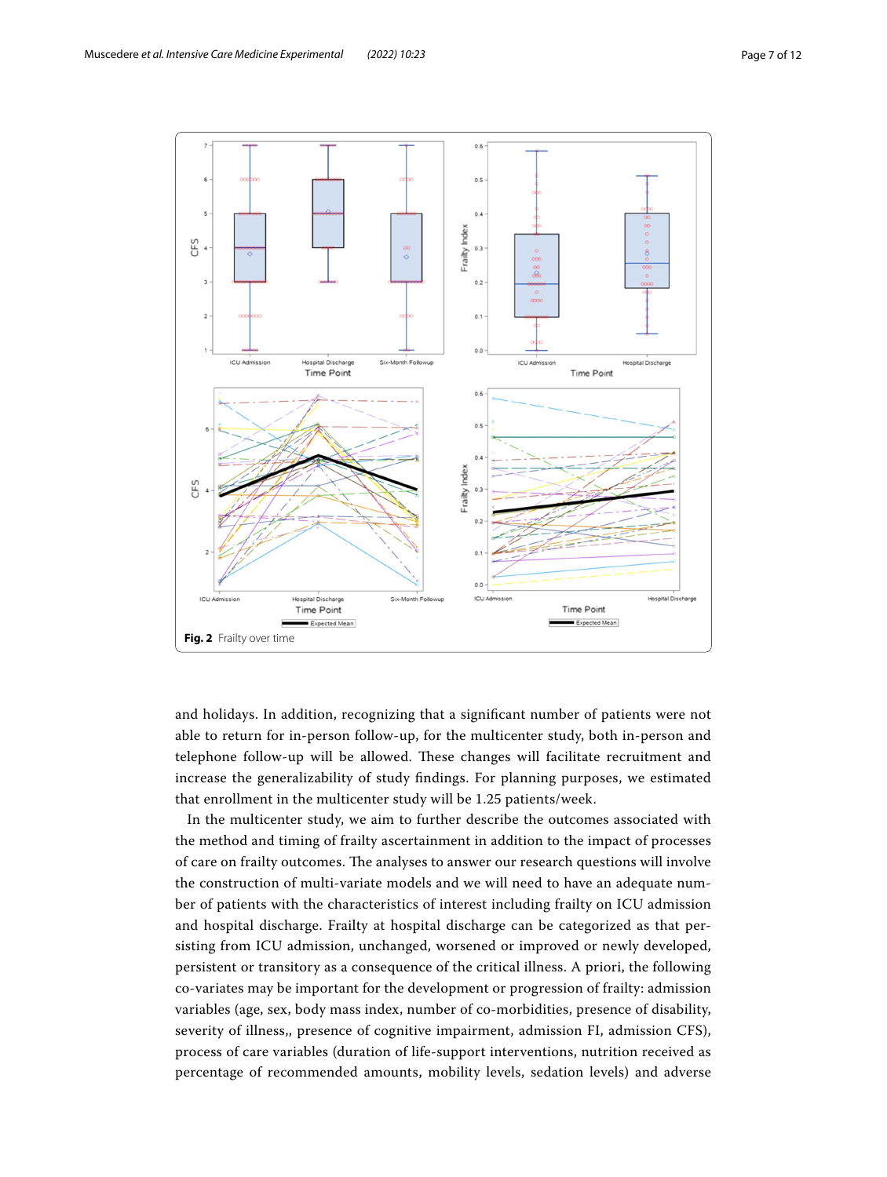

<span id="page-6-0"></span>and holidays. In addition, recognizing that a signifcant number of patients were not able to return for in-person follow-up, for the multicenter study, both in-person and telephone follow-up will be allowed. These changes will facilitate recruitment and increase the generalizability of study fndings. For planning purposes, we estimated that enrollment in the multicenter study will be 1.25 patients/week.

In the multicenter study, we aim to further describe the outcomes associated with the method and timing of frailty ascertainment in addition to the impact of processes of care on frailty outcomes. The analyses to answer our research questions will involve the construction of multi-variate models and we will need to have an adequate number of patients with the characteristics of interest including frailty on ICU admission and hospital discharge. Frailty at hospital discharge can be categorized as that persisting from ICU admission, unchanged, worsened or improved or newly developed, persistent or transitory as a consequence of the critical illness. A priori, the following co-variates may be important for the development or progression of frailty: admission variables (age, sex, body mass index, number of co-morbidities, presence of disability, severity of illness,, presence of cognitive impairment, admission FI, admission CFS), process of care variables (duration of life-support interventions, nutrition received as percentage of recommended amounts, mobility levels, sedation levels) and adverse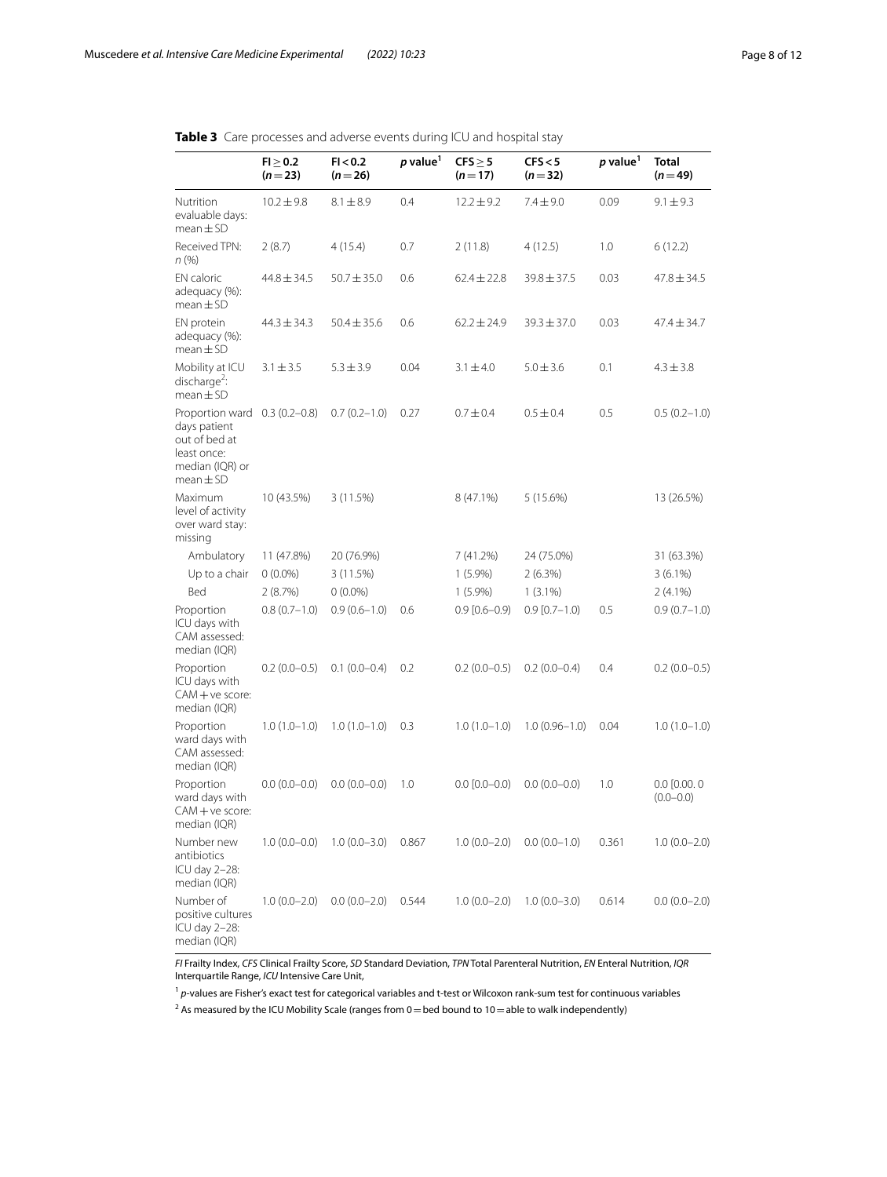<span id="page-7-0"></span>

|  |  | <b>Table 3</b> Care processes and adverse events during ICU and hospital stay |
|--|--|-------------------------------------------------------------------------------|
|  |  |                                                                               |

|                                                                                                                   | $FI \geq 0.2$<br>$(n=23)$ | FI < 0.2<br>$(n=26)$ | p value <sup>1</sup> | $CFS \geq 5$<br>$(n=17)$ | CFS < 5<br>$(n=32)$ | p value <sup>1</sup> | Total<br>$(n=49)$                  |
|-------------------------------------------------------------------------------------------------------------------|---------------------------|----------------------|----------------------|--------------------------|---------------------|----------------------|------------------------------------|
| Nutrition<br>evaluable days:<br>$mean \pm SD$                                                                     | $10.2 \pm 9.8$            | $8.1 \pm 8.9$        | 0.4                  | $12.2 \pm 9.2$           | $7.4 \pm 9.0$       | 0.09                 | $9.1 \pm 9.3$                      |
| Received TPN:<br>n(%)                                                                                             | 2(8.7)                    | 4(15.4)              | 0.7                  | 2(11.8)                  | 4 (12.5)            | 1.0                  | 6 (12.2)                           |
| EN caloric<br>adequacy (%):<br>$mean \pm SD$                                                                      | $44.8 \pm 34.5$           | $50.7 \pm 35.0$      | 0.6                  | $62.4 \pm 22.8$          | $39.8 \pm 37.5$     | 0.03                 | 47.8 $\pm$ 34.5                    |
| EN protein<br>adequacy (%):<br>$mean \pm SD$                                                                      | $44.3 \pm 34.3$           | $50.4 \pm 35.6$      | 0.6                  | $62.2 \pm 24.9$          | $39.3 \pm 37.0$     | 0.03                 | $47.4 \pm 34.7$                    |
| Mobility at ICU<br>discharge <sup>2</sup> :<br>$mean \pm SD$                                                      | $3.1 \pm 3.5$             | $5.3 \pm 3.9$        | 0.04                 | $3.1 \pm 4.0$            | $5.0 \pm 3.6$       | 0.1                  | $4.3 \pm 3.8$                      |
| Proportion ward 0.3 (0.2-0.8)<br>days patient<br>out of bed at<br>least once:<br>median (IQR) or<br>$mean \pm SD$ |                           | $0.7(0.2 - 1.0)$     | 0.27                 | $0.7 \pm 0.4$            | $0.5 \pm 0.4$       | 0.5                  | $0.5(0.2-1.0)$                     |
| Maximum<br>level of activity<br>over ward stay:<br>missing                                                        | 10 (43.5%)                | 3(11.5%)             |                      | 8 (47.1%)                | 5 (15.6%)           |                      | 13 (26.5%)                         |
| Ambulatory                                                                                                        | 11 (47.8%)                | 20 (76.9%)           |                      | 7 (41.2%)                | 24 (75.0%)          |                      | 31 (63.3%)                         |
| Up to a chair                                                                                                     | $0(0.0\%)$                | 3 (11.5%)            |                      | $1(5.9\%)$               | 2(6.3%)             |                      | $3(6.1\%)$                         |
| Bed                                                                                                               | 2(8.7%)                   | $0(0.0\%)$           |                      | $1(5.9\%)$               | $1(3.1\%)$          |                      | $2(4.1\%)$                         |
| Proportion<br>ICU days with<br>CAM assessed:<br>median (IQR)                                                      | $0.8(0.7-1.0)$            | $0.9(0.6-1.0)$       | 0.6                  | $0.9$ $[0.6 - 0.9)$      | $0.9$ $[0.7 - 1.0)$ | 0.5                  | $0.9(0.7-1.0)$                     |
| Proportion<br>ICU days with<br>$CAM + ve score:$<br>median (IQR)                                                  | $0.2(0.0-0.5)$            | $0.1(0.0-0.4)$       | 0.2                  | $0.2(0.0-0.5)$           | $0.2(0.0-0.4)$      | 0.4                  | $0.2(0.0-0.5)$                     |
| Proportion<br>ward days with<br>CAM assessed:<br>median (IQR)                                                     | $1.0(1.0-1.0)$            | $1.0(1.0-1.0)$       | 0.3                  | $1.0(1.0-1.0)$           | $1.0(0.96 - 1.0)$   | 0.04                 | $1.0(1.0-1.0)$                     |
| Proportion<br>ward days with<br>$CAM + ve score:$<br>median (IQR)                                                 | $0.0(0.0-0.0)$            | $0.0(0.0-0.0)$       | 1.0                  | $0.0$ $[0.0 - 0.0)$      | $0.0(0.0-0.0)$      | 1.0                  | $0.0$ $[0.00, 0]$<br>$(0.0 - 0.0)$ |
| Number new<br>antibiotics<br>ICU day 2-28:<br>median (IQR)                                                        | $1.0(0.0-0.0)$            | $1.0(0.0-3.0)$       | 0.867                | $1.0(0.0-2.0)$           | $0.0(0.0-1.0)$      | 0.361                | $1.0(0.0-2.0)$                     |
| Number of<br>positive cultures<br>ICU day 2-28:<br>median (IQR)                                                   | $1.0(0.0-2.0)$            | $0.0(0.0-2.0)$       | 0.544                | $1.0(0.0-2.0)$           | $1.0(0.0-3.0)$      | 0.614                | $0.0(0.0-2.0)$                     |

*FI* Frailty Index, *CFS* Clinical Frailty Score, *SD* Standard Deviation, *TPN* Total Parenteral Nutrition, *EN* Enteral Nutrition, *IQR* Interquartile Range, *ICU* Intensive Care Unit,

<sup>1</sup> p-values are Fisher's exact test for categorical variables and t-test or Wilcoxon rank-sum test for continuous variables

<sup>2</sup> As measured by the ICU Mobility Scale (ranges from 0 = bed bound to 10 = able to walk independently)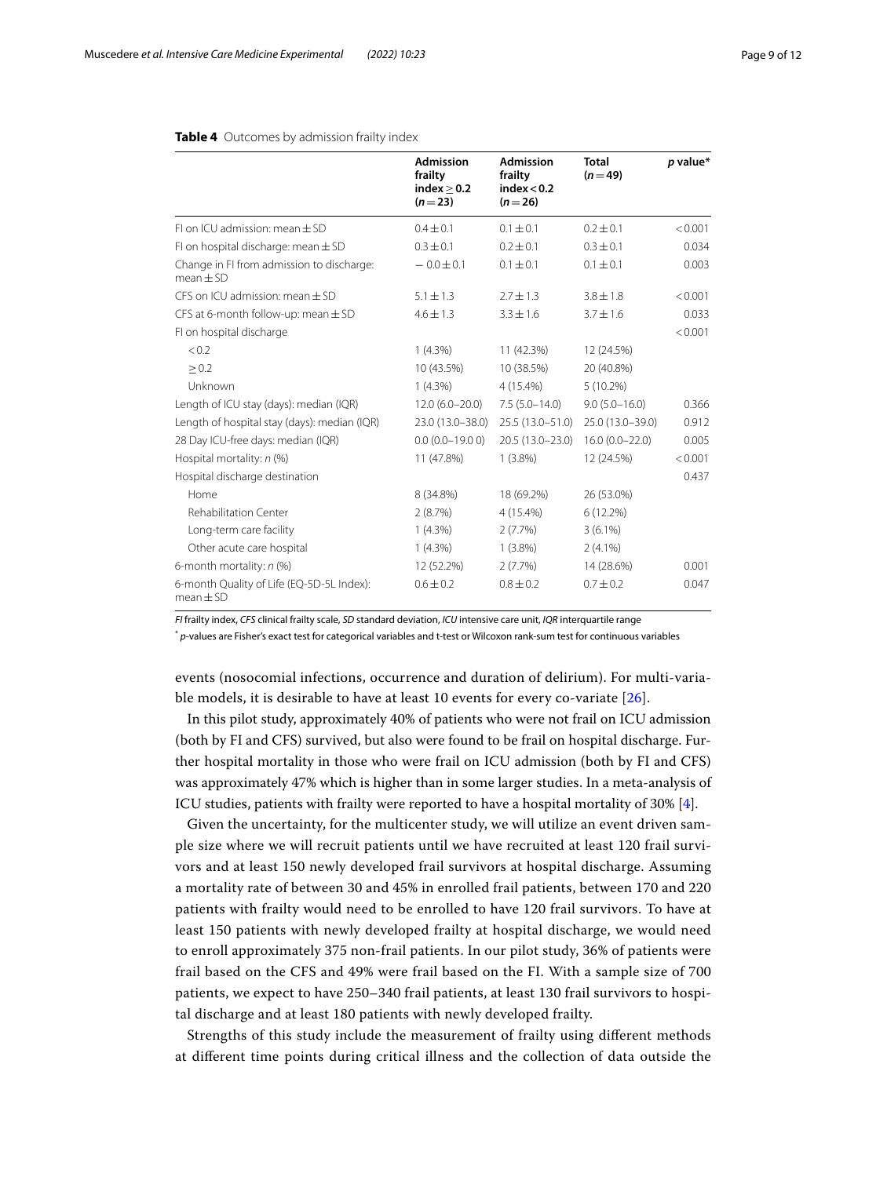|                                                            | <b>Admission</b><br>frailty<br>index > 0.2<br>$(n=23)$ | <b>Admission</b><br>frailty<br>index < 0.2<br>$(n=26)$ | <b>Total</b><br>$(n=49)$ | $p$ value* |
|------------------------------------------------------------|--------------------------------------------------------|--------------------------------------------------------|--------------------------|------------|
| $F$ I on ICU admission: mean $FSD$                         | $0.4 \pm 0.1$                                          | $0.1 \pm 0.1$                                          | $0.2 \pm 0.1$            | < 0.001    |
| FI on hospital discharge: mean $\pm$ SD                    | $0.3 \pm 0.1$                                          | $0.2 + 0.1$                                            | $0.3 + 0.1$              | 0.034      |
| Change in FI from admission to discharge:<br>$mean \pm SD$ | $-0.0 \pm 0.1$                                         | $0.1 \pm 0.1$                                          | $0.1 \pm 0.1$            | 0.003      |
| CFS on ICU admission: mean $\pm$ SD                        | $5.1 \pm 1.3$                                          | $2.7 + 1.3$                                            | $3.8 + 1.8$              | < 0.001    |
| CFS at 6-month follow-up: mean $\pm$ SD                    | $4.6 \pm 1.3$                                          | $3.3 \pm 1.6$                                          | $3.7 \pm 1.6$            | 0.033      |
| FI on hospital discharge                                   |                                                        |                                                        |                          | < 0.001    |
| < 0.2                                                      | $1(4.3\%)$                                             | 11 (42.3%)                                             | 12 (24.5%)               |            |
| > 0.2                                                      | 10 (43.5%)                                             | 10 (38.5%)                                             | 20 (40.8%)               |            |
| Unknown                                                    | $1(4.3\%)$                                             | 4 (15.4%)                                              | $5(10.2\%)$              |            |
| Length of ICU stay (days): median (IQR)                    | $12.0(6.0-20.0)$                                       | $7.5(5.0 - 14.0)$                                      | $9.0(5.0 - 16.0)$        | 0.366      |
| Length of hospital stay (days): median (IQR)               | 23.0 (13.0-38.0)                                       | 25.5 (13.0-51.0)                                       | 25.0 (13.0-39.0)         | 0.912      |
| 28 Day ICU-free days: median (IQR)                         | $0.0(0.0-19.00)$                                       | 20.5 (13.0-23.0)                                       | $16.0(0.0 - 22.0)$       | 0.005      |
| Hospital mortality: $n$ (%)                                | 11 (47.8%)                                             | $1(3.8\%)$                                             | 12 (24.5%)               | < 0.001    |
| Hospital discharge destination                             |                                                        |                                                        |                          | 0.437      |
| Home                                                       | 8 (34.8%)                                              | 18 (69.2%)                                             | 26 (53.0%)               |            |
| Rehabilitation Center                                      | 2(8.7%)                                                | 4 (15.4%)                                              | 6(12.2%)                 |            |
| Long-term care facility                                    | $1(4.3\%)$                                             | 2(7.7%)                                                | $3(6.1\%)$               |            |
| Other acute care hospital                                  | $1(4.3\%)$                                             | $1(3.8\%)$                                             | $2(4.1\%)$               |            |
| 6-month mortality: $n$ (%)                                 | 12 (52.2%)                                             | 2(7.7%)                                                | 14 (28.6%)               | 0.001      |
| 6-month Quality of Life (EQ-5D-5L Index):<br>$mean \pm SD$ | $0.6 \pm 0.2$                                          | $0.8 \pm 0.2$                                          | $0.7 \pm 0.2$            | 0.047      |

### <span id="page-8-0"></span>**Table 4** Outcomes by admission frailty index

*FI* frailty index, *CFS* clinical frailty scale, *SD* standard deviation, *ICU* intensive care unit, *IQR* interquartile range

\* *p*-values are Fisher's exact test for categorical variables and t-test or Wilcoxon rank-sum test for continuous variables

events (nosocomial infections, occurrence and duration of delirium). For multi-variable models, it is desirable to have at least 10 events for every co-variate [[26](#page-11-18)].

In this pilot study, approximately 40% of patients who were not frail on ICU admission (both by FI and CFS) survived, but also were found to be frail on hospital discharge. Further hospital mortality in those who were frail on ICU admission (both by FI and CFS) was approximately 47% which is higher than in some larger studies. In a meta-analysis of ICU studies, patients with frailty were reported to have a hospital mortality of 30% [[4\]](#page-10-3).

Given the uncertainty, for the multicenter study, we will utilize an event driven sample size where we will recruit patients until we have recruited at least 120 frail survivors and at least 150 newly developed frail survivors at hospital discharge. Assuming a mortality rate of between 30 and 45% in enrolled frail patients, between 170 and 220 patients with frailty would need to be enrolled to have 120 frail survivors. To have at least 150 patients with newly developed frailty at hospital discharge, we would need to enroll approximately 375 non-frail patients. In our pilot study, 36% of patients were frail based on the CFS and 49% were frail based on the FI. With a sample size of 700 patients, we expect to have 250–340 frail patients, at least 130 frail survivors to hospital discharge and at least 180 patients with newly developed frailty.

Strengths of this study include the measurement of frailty using diferent methods at diferent time points during critical illness and the collection of data outside the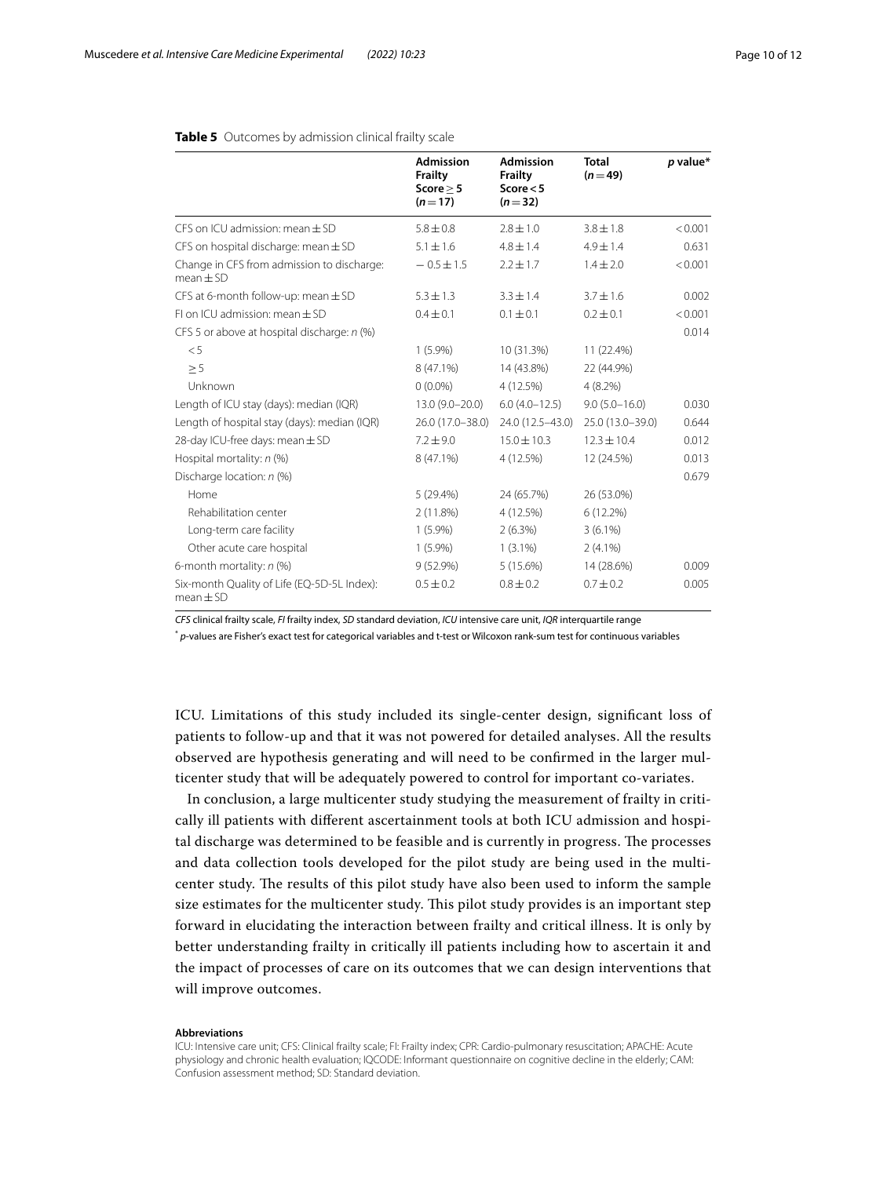|                                                              | <b>Admission</b><br><b>Frailty</b><br>Score $> 5$<br>$(n=17)$ | <b>Admission</b><br>Frailty<br>Score $<$ 5<br>$(n=32)$ | <b>Total</b><br>$(n=49)$ | p value* |
|--------------------------------------------------------------|---------------------------------------------------------------|--------------------------------------------------------|--------------------------|----------|
| CES on ICU admission: mean $\pm$ SD                          | $5.8 \pm 0.8$                                                 | $7.8 + 1.0$                                            | $3.8 + 1.8$              | < 0.001  |
| CFS on hospital discharge: mean $\pm$ SD                     | $5.1 \pm 1.6$                                                 | $4.8 \pm 1.4$                                          | $4.9 \pm 1.4$            | 0.631    |
| Change in CFS from admission to discharge:<br>$mean \pm SD$  | $-0.5 \pm 1.5$                                                | $2.2 \pm 1.7$                                          | $1.4 \pm 2.0$            | < 0.001  |
| CFS at 6-month follow-up: mean $\pm$ SD                      | $5.3 \pm 1.3$                                                 | $3.3 + 1.4$                                            | $3.7 + 1.6$              | 0.002    |
| $F$ I on ICU admission: mean $FSD$                           | $0.4 \pm 0.1$                                                 | $0.1 \pm 0.1$                                          | $0.2 \pm 0.1$            | < 0.001  |
| CFS 5 or above at hospital discharge: n (%)                  |                                                               |                                                        |                          | 0.014    |
| < 5                                                          | $1(5.9\%)$                                                    | 10 (31.3%)                                             | 11 (22.4%)               |          |
| $\geq$ 5                                                     | $8(47.1\%)$                                                   | 14 (43.8%)                                             | 22 (44.9%)               |          |
| Unknown                                                      | $0(0.0\%)$                                                    | 4 (12.5%)                                              | 4(8.2%)                  |          |
| Length of ICU stay (days): median (IQR)                      | 13.0 (9.0-20.0)                                               | $6.0(4.0-12.5)$                                        | $9.0(5.0 - 16.0)$        | 0.030    |
| Length of hospital stay (days): median (IQR)                 | 26.0 (17.0-38.0)                                              | 24.0 (12.5-43.0)                                       | 25.0 (13.0-39.0)         | 0.644    |
| 28-day ICU-free days: mean $\pm$ SD                          | $7.2 + 9.0$                                                   | $15.0 \pm 10.3$                                        | $12.3 + 10.4$            | 0.012    |
| Hospital mortality: $n$ (%)                                  | 8 (47.1%)                                                     | 4 (12.5%)                                              | 12 (24.5%)               | 0.013    |
| Discharge location: n (%)                                    |                                                               |                                                        |                          | 0.679    |
| Home                                                         | 5(29.4%)                                                      | 24 (65.7%)                                             | 26 (53.0%)               |          |
| Rehabilitation center                                        | 2(11.8%)                                                      | 4 (12.5%)                                              | 6(12.2%)                 |          |
| Long-term care facility                                      | $1(5.9\%)$                                                    | $2(6.3\%)$                                             | $3(6.1\%)$               |          |
| Other acute care hospital                                    | $1(5.9\%)$                                                    | $1(3.1\%)$                                             | $2(4.1\%)$               |          |
| 6-month mortality: $n$ (%)                                   | $9(52.9\%)$                                                   | 5 (15.6%)                                              | 14 (28.6%)               | 0.009    |
| Six-month Quality of Life (EQ-5D-5L Index):<br>$mean \pm SD$ | $0.5 + 0.2$                                                   | $0.8 + 0.2$                                            | $0.7 + 0.2$              | 0.005    |

## <span id="page-9-0"></span>**Table 5** Outcomes by admission clinical frailty scale

*CFS* clinical frailty scale, *FI* frailty index, *SD* standard deviation, *ICU* intensive care unit, *IQR* interquartile range

\* *p*-values are Fisher's exact test for categorical variables and t-test or Wilcoxon rank-sum test for continuous variables

ICU. Limitations of this study included its single-center design, signifcant loss of patients to follow-up and that it was not powered for detailed analyses. All the results observed are hypothesis generating and will need to be confrmed in the larger multicenter study that will be adequately powered to control for important co-variates.

In conclusion, a large multicenter study studying the measurement of frailty in critically ill patients with diferent ascertainment tools at both ICU admission and hospital discharge was determined to be feasible and is currently in progress. The processes and data collection tools developed for the pilot study are being used in the multicenter study. The results of this pilot study have also been used to inform the sample size estimates for the multicenter study. This pilot study provides is an important step forward in elucidating the interaction between frailty and critical illness. It is only by better understanding frailty in critically ill patients including how to ascertain it and the impact of processes of care on its outcomes that we can design interventions that will improve outcomes.

#### **Abbreviations**

ICU: Intensive care unit; CFS: Clinical frailty scale; FI: Frailty index; CPR: Cardio-pulmonary resuscitation; APACHE: Acute physiology and chronic health evaluation; IQCODE: Informant questionnaire on cognitive decline in the elderly; CAM: Confusion assessment method; SD: Standard deviation.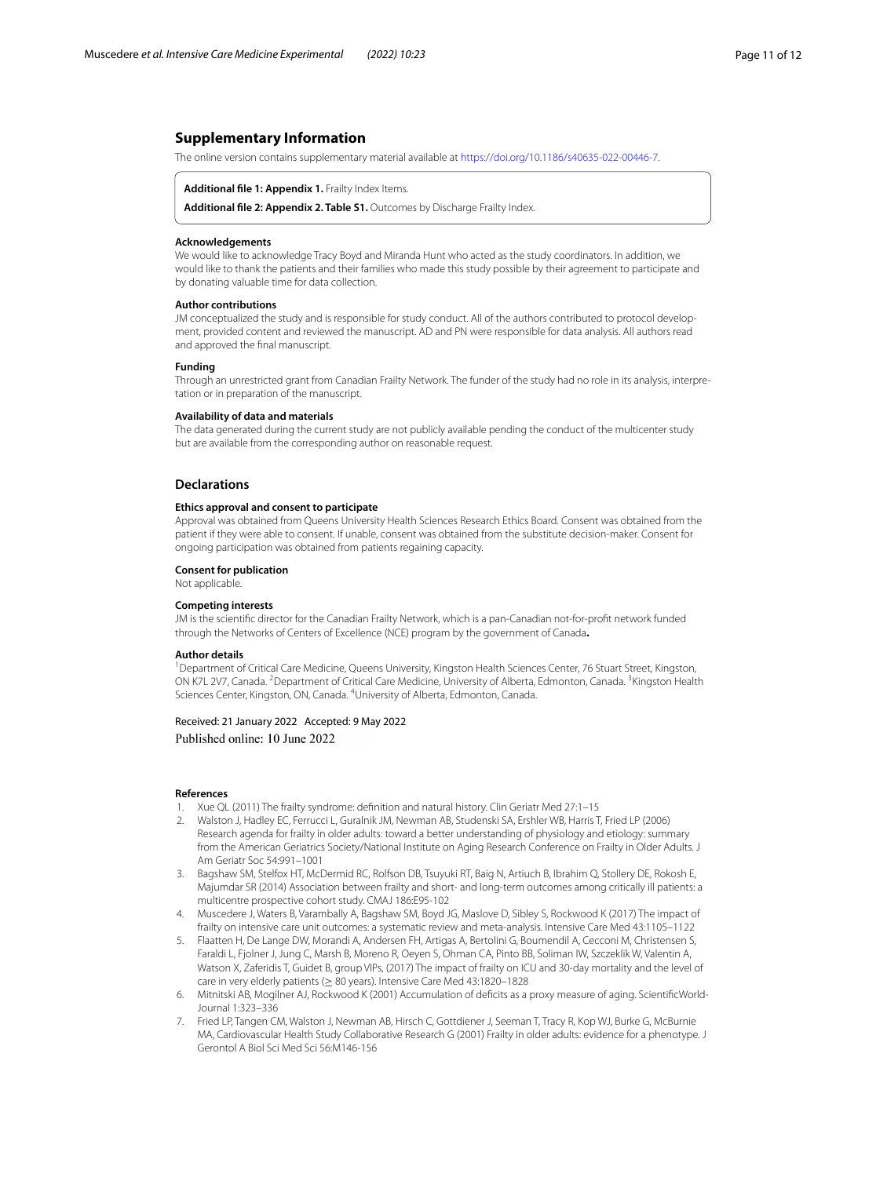## **Supplementary Information**

The online version contains supplementary material available at [https://doi.org/10.1186/s40635-022-00446-7.](https://doi.org/10.1186/s40635-022-00446-7)

#### <span id="page-10-8"></span><span id="page-10-7"></span>**Additional fle 1: Appendix 1.** Frailty Index Items.

**Additional fle 2: Appendix 2. Table S1.** Outcomes by Discharge Frailty Index.

#### **Acknowledgements**

We would like to acknowledge Tracy Boyd and Miranda Hunt who acted as the study coordinators. In addition, we would like to thank the patients and their families who made this study possible by their agreement to participate and by donating valuable time for data collection.

#### **Author contributions**

JM conceptualized the study and is responsible for study conduct. All of the authors contributed to protocol development, provided content and reviewed the manuscript. AD and PN were responsible for data analysis. All authors read and approved the fnal manuscript.

#### **Funding**

Through an unrestricted grant from Canadian Frailty Network. The funder of the study had no role in its analysis, interpretation or in preparation of the manuscript.

#### **Availability of data and materials**

The data generated during the current study are not publicly available pending the conduct of the multicenter study but are available from the corresponding author on reasonable request.

## **Declarations**

#### **Ethics approval and consent to participate**

Approval was obtained from Queens University Health Sciences Research Ethics Board. Consent was obtained from the patient if they were able to consent. If unable, consent was obtained from the substitute decision-maker. Consent for ongoing participation was obtained from patients regaining capacity.

#### **Consent for publication**

Not applicable.

#### **Competing interests**

JM is the scientifc director for the Canadian Frailty Network, which is a pan-Canadian not-for-proft network funded through the Networks of Centers of Excellence (NCE) program by the government of Canada**.**

#### **Author details**

<sup>1</sup> Department of Critical Care Medicine, Queens University, Kingston Health Sciences Center, 76 Stuart Street, Kingston, ON K7L 2V7, Canada. <sup>2</sup> Department of Critical Care Medicine, University of Alberta, Edmonton, Canada. <sup>3</sup> Kingston Health Sciences Center, Kingston, ON, Canada. <sup>4</sup>University of Alberta, Edmonton, Canada.

# Received: 21 January 2022 Accepted: 9 May 2022 Published online: 10 June 2022

#### **References**

- <span id="page-10-0"></span>1. Xue QL (2011) The frailty syndrome: defnition and natural history. Clin Geriatr Med 27:1–15
- <span id="page-10-1"></span>2. Walston J, Hadley EC, Ferrucci L, Guralnik JM, Newman AB, Studenski SA, Ershler WB, Harris T, Fried LP (2006) Research agenda for frailty in older adults: toward a better understanding of physiology and etiology: summary from the American Geriatrics Society/National Institute on Aging Research Conference on Frailty in Older Adults. J Am Geriatr Soc 54:991–1001
- <span id="page-10-2"></span>3. Bagshaw SM, Stelfox HT, McDermid RC, Rolfson DB, Tsuyuki RT, Baig N, Artiuch B, Ibrahim Q, Stollery DE, Rokosh E, Majumdar SR (2014) Association between frailty and short- and long-term outcomes among critically ill patients: a multicentre prospective cohort study. CMAJ 186:E95-102
- <span id="page-10-3"></span>4. Muscedere J, Waters B, Varambally A, Bagshaw SM, Boyd JG, Maslove D, Sibley S, Rockwood K (2017) The impact of frailty on intensive care unit outcomes: a systematic review and meta-analysis. Intensive Care Med 43:1105–1122
- <span id="page-10-4"></span>5. Flaatten H, De Lange DW, Morandi A, Andersen FH, Artigas A, Bertolini G, Boumendil A, Cecconi M, Christensen S, Faraldi L, Fjolner J, Jung C, Marsh B, Moreno R, Oeyen S, Ohman CA, Pinto BB, Soliman IW, Szczeklik W, Valentin A, Watson X, Zaferidis T, Guidet B, group VIPs, (2017) The impact of frailty on ICU and 30-day mortality and the level of care in very elderly patients (≥ 80 years). Intensive Care Med 43:1820–1828
- <span id="page-10-5"></span>6. Mitnitski AB, Mogilner AJ, Rockwood K (2001) Accumulation of defcits as a proxy measure of aging. ScientifcWorld-Journal 1:323–336
- <span id="page-10-6"></span>7. Fried LP, Tangen CM, Walston J, Newman AB, Hirsch C, Gottdiener J, Seeman T, Tracy R, Kop WJ, Burke G, McBurnie MA, Cardiovascular Health Study Collaborative Research G (2001) Frailty in older adults: evidence for a phenotype. J Gerontol A Biol Sci Med Sci 56:M146-156